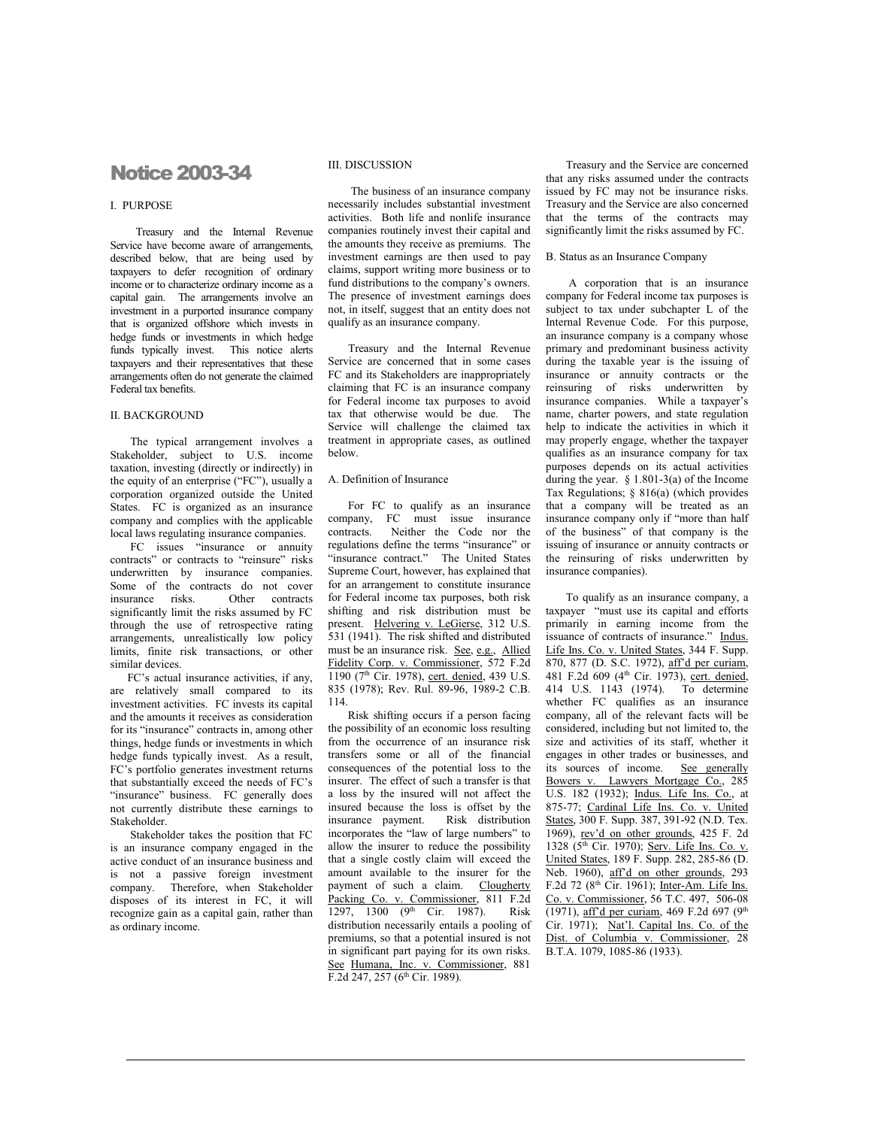# Notice 2003-34

## I. PURPOSE

Treasury and the Internal Revenue Service have become aware of arrangements, described below, that are being used by taxpayers to defer recognition of ordinary income or to characterize ordinary income as a capital gain. The arrangements involve an investment in a purported insurance company that is organized offshore which invests in hedge funds or investments in which hedge funds typically invest. This notice alerts taxpayers and their representatives that these arrangements often do not generate the claimed Federal tax benefits.

## II. BACKGROUND

 The typical arrangement involves a Stakeholder, subject to U.S. income taxation, investing (directly or indirectly) in the equity of an enterprise ("FC"), usually a corporation organized outside the United States. FC is organized as an insurance company and complies with the applicable local laws regulating insurance companies.

 FC issues "insurance or annuity contracts" or contracts to "reinsure" risks underwritten by insurance companies. Some of the contracts do not cover<br>insurance risks. Other contracts Other contracts. significantly limit the risks assumed by FC through the use of retrospective rating arrangements, unrealistically low policy limits, finite risk transactions, or other similar devices.

 FC's actual insurance activities, if any, are relatively small compared to its investment activities. FC invests its capital and the amounts it receives as consideration for its "insurance" contracts in, among other things, hedge funds or investments in which hedge funds typically invest. As a result, FC's portfolio generates investment returns that substantially exceed the needs of FC's "insurance" business. FC generally does not currently distribute these earnings to Stakeholder.

 Stakeholder takes the position that FC is an insurance company engaged in the active conduct of an insurance business and is not a passive foreign investment company. Therefore, when Stakeholder disposes of its interest in FC, it will recognize gain as a capital gain, rather than as ordinary income.

#### III. DISCUSSION

 The business of an insurance company necessarily includes substantial investment activities. Both life and nonlife insurance companies routinely invest their capital and the amounts they receive as premiums. The investment earnings are then used to pay claims, support writing more business or to fund distributions to the company's owners. The presence of investment earnings does not, in itself, suggest that an entity does not qualify as an insurance company.

 Treasury and the Internal Revenue Service are concerned that in some cases FC and its Stakeholders are inappropriately claiming that FC is an insurance company for Federal income tax purposes to avoid tax that otherwise would be due. The Service will challenge the claimed tax treatment in appropriate cases, as outlined below.

## A. Definition of Insurance

 For FC to qualify as an insurance company, FC must issue insurance contracts. Neither the Code nor the regulations define the terms "insurance" or "insurance contract." The United States Supreme Court, however, has explained that for an arrangement to constitute insurance for Federal income tax purposes, both risk shifting and risk distribution must be present. Helvering v. LeGierse, 312 U.S. 531 (1941). The risk shifted and distributed must be an insurance risk. See, e.g., Allied Fidelity Corp. v. Commissioner, 572 F.2d 1190 (7<sup>th</sup> Cir. 1978), cert. denied, 439 U.S. 835 (1978); Rev. Rul. 89-96, 1989-2 C.B. 114.

 Risk shifting occurs if a person facing the possibility of an economic loss resulting from the occurrence of an insurance risk transfers some or all of the financial consequences of the potential loss to the insurer. The effect of such a transfer is that a loss by the insured will not affect the insured because the loss is offset by the<br>insurance payment. Risk distribution insurance payment. incorporates the "law of large numbers" to allow the insurer to reduce the possibility that a single costly claim will exceed the amount available to the insurer for the payment of such a claim. Clougherty Packing Co. v. Commissioner, 811 F.2d  $1297, 1300$  (9<sup>th</sup> Cir. 1987). Risk distribution necessarily entails a pooling of premiums, so that a potential insured is not in significant part paying for its own risks. See Humana, Inc. v. Commissioner, 881 F.2d 247, 257 (6<sup>th</sup> Cir. 1989).

 Treasury and the Service are concerned that any risks assumed under the contracts issued by FC may not be insurance risks. Treasury and the Service are also concerned that the terms of the contracts may significantly limit the risks assumed by FC.

#### B. Status as an Insurance Company

 A corporation that is an insurance company for Federal income tax purposes is subject to tax under subchapter L of the Internal Revenue Code. For this purpose, an insurance company is a company whose primary and predominant business activity during the taxable year is the issuing of insurance or annuity contracts or the reinsuring of risks underwritten by insurance companies. While a taxpayer's name, charter powers, and state regulation help to indicate the activities in which it may properly engage, whether the taxpayer qualifies as an insurance company for tax purposes depends on its actual activities during the year.  $\frac{1}{8}$  1.801-3(a) of the Income Tax Regulations; § 816(a) (which provides that a company will be treated as an insurance company only if "more than half of the business" of that company is the issuing of insurance or annuity contracts or the reinsuring of risks underwritten by insurance companies).

 To qualify as an insurance company, a taxpayer "must use its capital and efforts primarily in earning income from the issuance of contracts of insurance." Indus. Life Ins. Co. v. United States, 344 F. Supp. 870, 877 (D. S.C. 1972), aff'd per curiam, 481 F.2d 609 (4<sup>th</sup> Cir. 1973), cert. denied, 414 U.S. 1143 (1974). To determine whether FC qualifies as an insurance company, all of the relevant facts will be considered, including but not limited to, the size and activities of its staff, whether it engages in other trades or businesses, and its sources of income. See generally Bowers v. Lawyers Mortgage Co., 285 U.S. 182 (1932); Indus. Life Ins. Co., at 875-77; Cardinal Life Ins. Co. v. United States, 300 F. Supp. 387, 391-92 (N.D. Tex. 1969), rev'd on other grounds, 425 F. 2d 1328 (5th Cir. 1970); Serv. Life Ins. Co. v. United States, 189 F. Supp. 282, 285-86 (D. Neb. 1960), aff'd on other grounds, 293 F.2d 72 ( $8<sup>th</sup>$  Cir. 1961); Inter-Am. Life Ins. Co. v. Commissioner, 56 T.C. 497, 506-08 (1971), aff'd per curiam, 469 F.2d 697 (9<sup>th</sup> Cir. 1971); Nat'l. Capital Ins. Co. of the Dist. of Columbia v. Commissioner, 28 B.T.A. 1079, 1085-86 (1933).